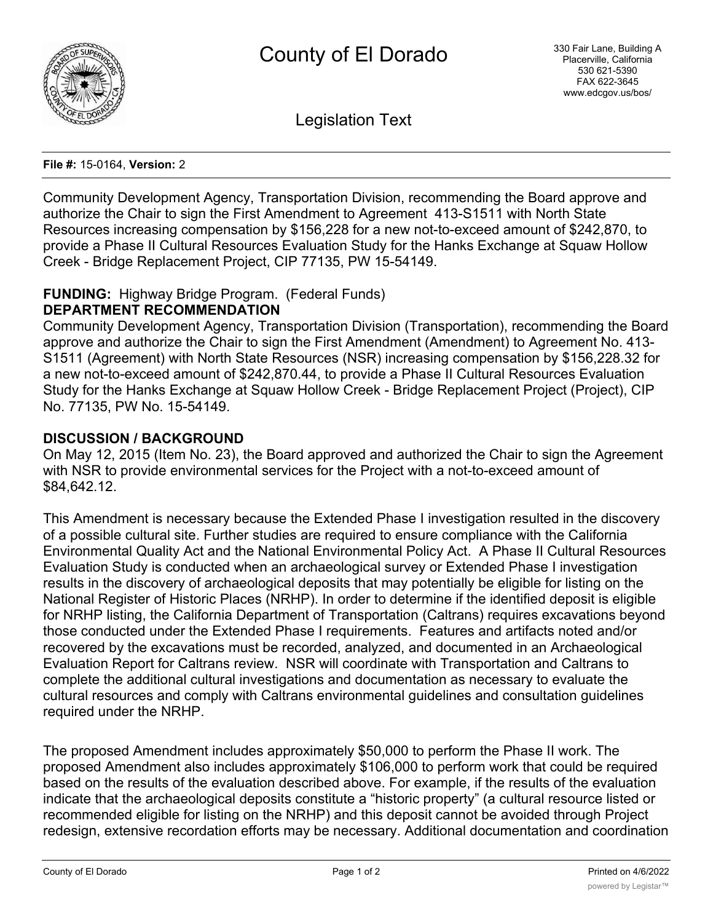

Legislation Text

#### **File #:** 15-0164, **Version:** 2

Community Development Agency, Transportation Division, recommending the Board approve and authorize the Chair to sign the First Amendment to Agreement 413-S1511 with North State Resources increasing compensation by \$156,228 for a new not-to-exceed amount of \$242,870, to provide a Phase II Cultural Resources Evaluation Study for the Hanks Exchange at Squaw Hollow Creek - Bridge Replacement Project, CIP 77135, PW 15-54149.

#### **FUNDING:** Highway Bridge Program. (Federal Funds) **DEPARTMENT RECOMMENDATION**

Community Development Agency, Transportation Division (Transportation), recommending the Board approve and authorize the Chair to sign the First Amendment (Amendment) to Agreement No. 413- S1511 (Agreement) with North State Resources (NSR) increasing compensation by \$156,228.32 for a new not-to-exceed amount of \$242,870.44, to provide a Phase II Cultural Resources Evaluation Study for the Hanks Exchange at Squaw Hollow Creek - Bridge Replacement Project (Project), CIP No. 77135, PW No. 15-54149.

# **DISCUSSION / BACKGROUND**

On May 12, 2015 (Item No. 23), the Board approved and authorized the Chair to sign the Agreement with NSR to provide environmental services for the Project with a not-to-exceed amount of \$84,642.12.

This Amendment is necessary because the Extended Phase I investigation resulted in the discovery of a possible cultural site. Further studies are required to ensure compliance with the California Environmental Quality Act and the National Environmental Policy Act. A Phase II Cultural Resources Evaluation Study is conducted when an archaeological survey or Extended Phase I investigation results in the discovery of archaeological deposits that may potentially be eligible for listing on the National Register of Historic Places (NRHP). In order to determine if the identified deposit is eligible for NRHP listing, the California Department of Transportation (Caltrans) requires excavations beyond those conducted under the Extended Phase I requirements. Features and artifacts noted and/or recovered by the excavations must be recorded, analyzed, and documented in an Archaeological Evaluation Report for Caltrans review. NSR will coordinate with Transportation and Caltrans to complete the additional cultural investigations and documentation as necessary to evaluate the cultural resources and comply with Caltrans environmental guidelines and consultation guidelines required under the NRHP.

The proposed Amendment includes approximately \$50,000 to perform the Phase II work. The proposed Amendment also includes approximately \$106,000 to perform work that could be required based on the results of the evaluation described above. For example, if the results of the evaluation indicate that the archaeological deposits constitute a "historic property" (a cultural resource listed or recommended eligible for listing on the NRHP) and this deposit cannot be avoided through Project redesign, extensive recordation efforts may be necessary. Additional documentation and coordination